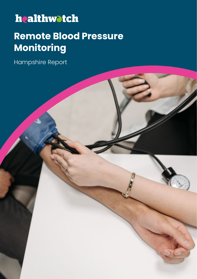## healthwatch

### **Remote Blood Pressure Monitoring**

Hampshire Report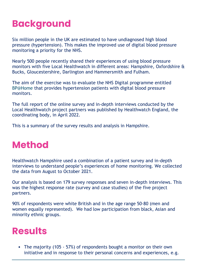## **Background**

Six million people in the UK are estimated to have undiagnosed high blood pressure (hypertension). This makes the improved use of digital blood pressure monitoring a priority for the NHS.

Nearly 500 people recently shared their experiences of using blood pressure monitors with five Local Healthwatch in different areas: Hampshire, Oxfordshire & Bucks, Gloucestershire, Darlington and Hammersmith and Fulham.

The aim of the exercise was to evaluate the NHS Digital programme entitled BP@Home that provides hypertension patients with digital blood pressure monitors.

The full report of the online survey and in-depth interviews conducted by the Local Healthwatch project partners was published by Healthwatch England, the coordinating body, in April 2022.

This is a summary of the survey results and analysis in Hampshire.

### **Method**

Healthwatch Hampshire used a combination of a patient survey and in-depth interviews to understand people's experiences of home monitoring. We collected the data from August to October 2021.

Our analysis is based on 179 survey responses and seven in-depth interviews. This was the highest response rate (survey and case studies) of the five project partners.

90% of respondents were white British and in the age range 50-80 (men and women equally represented). We had low participation from black, Asian and minority ethnic groups.

#### **Results**

• The majority (105 - 57%) of respondents bought a monitor on their own initiative and in response to their personal concerns and experiences, e.g.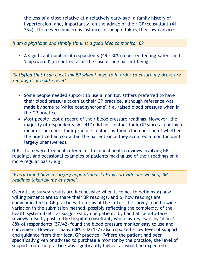the loss of a close relative at a relatively early age, a family history of hypertension, and, importantly, on the advice of their GP/consultant (41 - 23%). There were numerous instances of people taking their own advice:

*'I am a physician and simply think it a good idea to monitor BP'* 

• A significant number of respondents (48 - 30%) reported feeling 'safer', and 'empowered' (in control) as in the case of one patient being:

*'Satisfied that I can check my BP when I need to in order to ensure my drugs are keeping it at a safe level'* 

- Some people needed support to use a monitor. Others preferred to have their blood pressure taken at their GP practice, although reference was made by some to 'white coat syndrome', i.e. raised blood pressure when in the GP practice.
- Most people kept a record of their blood pressure readings. However, the majority of respondents 56 - 41%) did not contact their GP since acquiring a monitor, or report their practice contacting them (the question of whether the practice had contacted the patient since they acquired a monitor went largely unanswered).

N.B. There were frequent references to annual health reviews involving BP readings, and occasional examples of patients making use of their readings on a more regular basis, e.g:

*'Every time I have a surgery appointment I always provide one week of BP readings taken by me at home'.* 

Overall the survey results are inconclusive when it comes to defining a) how willing patients are to share their BP readings, and b) how readings are communicated to GP practices. In terms of the latter, the survey found a wide variation in the submission method, possibly reflecting the complexity of the health system itself, as suggested by one patient:' by hand at face-to-face reviews, else by post to the hospital consultant, when my review is by 'phone'. 88% of respondents (37/42) found the blood pressure monitor easy to use and convenient. However, many (38% - 42/137) also reported a low level of support and guidance from their local GP practice. (Where the patient had been specifically given or advised to purchase a monitor by the practice, the level of support from the practice was significantly higher, as would be expected).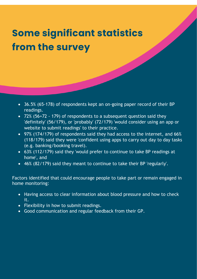## **Some significant statistics from the survey**

- 36.5% (65-178) of respondents kept an on-going paper record of their BP readings.
- 72% (56+72 179) of respondents to a subsequent question said they 'definitely' (56/179), or 'probably' (72/179) 'would consider using an app or website to submit readings' to their practice.
- 97% (174/179) of respondents said they had access to the internet, and 66% (118/179) said they were 'confident using apps to carry out day to day tasks (e.g. banking/booking travel).
- 63% (112/179) said they 'would prefer to continue to take BP readings at home', and
- 46% (82/179) said they meant to continue to take their BP 'regularly'.

Factors identified that could encourage people to take part or remain engaged in home monitoring:

- Having access to clear information about blood pressure and how to check it.
- Flexibility in how to submit readings.

í

• Good communication and regular feedback from their GP.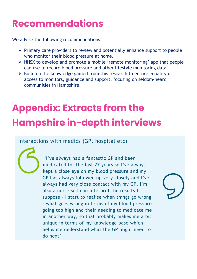### **Recommendations**

We advise the following recommendations:

- $\triangleright$  Primary care providers to review and potentially enhance support to people who monitor their blood pressure at home.
- $\triangleright$  NHSX to develop and promote a mobile 'remote monitoring' app that people can use to record blood pressure and other lifestyle monitoring data.
- $\triangleright$  Build on the knowledge gained from this research to ensure equality of access to monitors, guidance and support, focusing on seldom-heard communities in Hampshire.

# **Appendix: Extracts from the Hampshire in-depth interviews**

#### Interactions with medics (GP, hospital etc)

'I've always had a fantastic GP and been medicated for the last 27 years so I've always kept a close eye on my blood pressure and my GP has always followed up very closely and I've always had very close contact with my GP. I'm also a nurse so I can interpret the results I suppose – I start to realise when things go wrong - what goes wrong in terms of my blood pressure going too high and their needing to medicate me in another way, so that probably makes me a bit unique in terms of my knowledge base which helps me understand what the GP might need to do next'.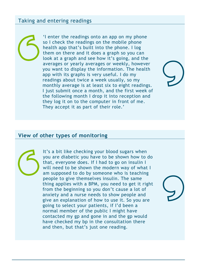#### Taking and entering readings

'I enter the readings onto an app on my phone so I check the readings on the mobile phone health app that's built into the phone. I log them on there and it does a graph so you can look at a graph and see how it's going, and the averages or yearly averages or weekly, however you want to display the information. The health app with its graphs is very useful. I do my readings about twice a week usually, so my monthly average is at least six to eight readings. I just submit once a month, and the first week of the following month I drop it into reception and they log it on to the computer in front of me. They accept it as part of their role.'

#### **View of other types of monitoring**

It's a bit like checking your blood sugars when you are diabetic you have to be shown how to do that, everyone does. If I had to go on insulin I will need to be shown the modern way of what I am supposed to do by someone who is teaching people to give themselves insulin. The same thing applies with a BPM, you need to get it right from the beginning so you don't cause a lot of anxiety and a nurse needs to show people and give an explanation of how to use it. So you are going to select your patients, if I'd been a normal member of the public I might have contacted my gp and gone in and the gp would have checked my bp in the consultation there and then, but that's just one reading.